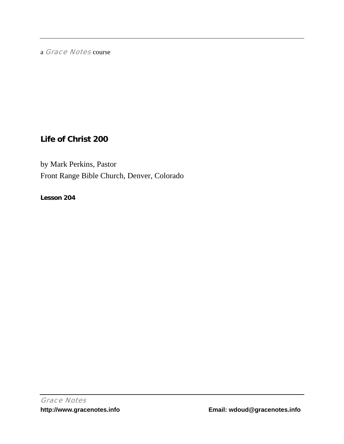a Grace Notes course

# **Life of Christ 200**

by Mark Perkins, Pastor Front Range Bible Church, Denver, Colorado

**Lesson 204**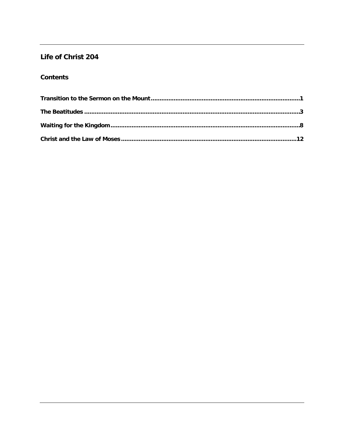## Life of Christ 204

### **Contents**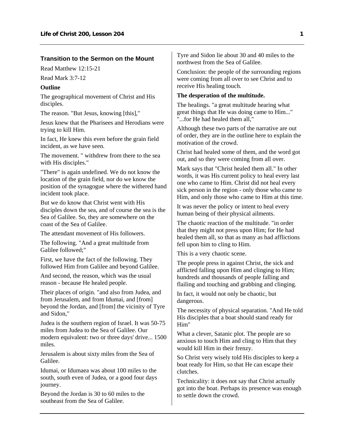#### <span id="page-2-0"></span>**Transition to the Sermon on the Mount**

Read Matthew 12:15-21

Read Mark 3:7-12

#### **Outline**

The geographical movement of Christ and His disciples.

The reason. "But Jesus, knowing [this],"

Jesus knew that the Pharisees and Herodians were trying to kill Him.

In fact, He knew this even before the grain field incident, as we have seen.

The movement. " withdrew from there to the sea with His disciples."

"There" is again undefined. We do not know the location of the grain field, nor do we know the position of the synagogue where the withered hand incident took place.

But we do know that Christ went with His disciples down the sea, and of course the sea is the Sea of Galilee. So, they are somewhere on the coast of the Sea of Galilee.

The attendant movement of His followers.

The following. "And a great multitude from Galilee followed;"

First, we have the fact of the following. They followed Him from Galilee and beyond Galilee.

And second, the reason, which was the usual reason - because He healed people.

Their places of origin. "and also from Judea, and from Jerusalem, and from Idumai, and [from] beyond the Jordan, and [from] the vicinity of Tyre and Sidon,"

Judea is the southern region of Israel. It was 50-75 miles from Judea to the Sea of Galilee. Our modern equivalent: two or three days' drive... 1500 miles.

Jerusalem is about sixty miles from the Sea of Galilee.

Idumai, or Idumaea was about 100 miles to the south, south even of Judea, or a good four days journey.

Beyond the Jordan is 30 to 60 miles to the southeast from the Sea of Galilee.

Tyre and Sidon lie about 30 and 40 miles to the northwest from the Sea of Galilee.

Conclusion: the people of the surrounding regions were coming from all over to see Christ and to receive His healing touch.

#### **The desperation of the multitude.**

The healings. "a great multitude hearing what great things that He was doing came to Him..." "...for He had healed them all,"

Although these two parts of the narrative are out of order, they are in the outline here to explain the motivation of the crowd.

Christ had healed some of them, and the word got out, and so they were coming from all over.

Mark says that "Christ healed them all." In other words, it was His current policy to heal every last one who came to Him. Christ did not heal every sick person in the region - only those who came to Him, and only those who came to Him at this time.

It was never the policy or intent to heal every human being of their physical ailments.

The chaotic reaction of the multitude. "in order that they might not press upon Him; for He had healed them all, so that as many as had afflictions fell upon him to cling to Him.

This is a very chaotic scene.

The people press in against Christ, the sick and afflicted falling upon Him and clinging to Him; hundreds and thousands of people falling and flailing and touching and grabbing and clinging.

In fact, it would not only be chaotic, but dangerous.

The necessity of physical separation. "And He told His disciples that a boat should stand ready for Him"

What a clever, Satanic plot. The people are so anxious to touch Him and cling to Him that they would kill Him in their frenzy.

So Christ very wisely told His disciples to keep a boat ready for Him, so that He can escape their clutches.

Technicality: it does not say that Christ actually got into the boat. Perhaps its presence was enough to settle down the crowd.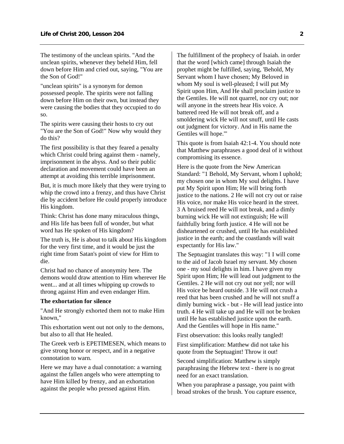The testimony of the unclean spirits. "And the unclean spirits, whenever they beheld Him, fell down before Him and cried out, saying, "You are the Son of God!"

"unclean spirits" is a synonym for demon possessed people. The spirits were not falling down before Him on their own, but instead they were causing the bodies that they occupied to do so.

The spirits were causing their hosts to cry out "You are the Son of God!" Now why would they do this?

The first possibility is that they feared a penalty which Christ could bring against them - namely, imprisonment in the abyss. And so their public declaration and movement could have been an attempt at avoiding this terrible imprisonment.

But, it is much more likely that they were trying to whip the crowd into a frenzy, and thus have Christ die by accident before He could properly introduce His kingdom.

Think: Christ has done many miraculous things, and His life has been full of wonder, but what word has He spoken of His kingdom?

The truth is, He is about to talk about His kingdom for the very first time, and it would be just the right time from Satan's point of view for Him to die.

Christ had no chance of anonymity here. The demons would draw attention to Him wherever He went... and at all times whipping up crowds to throng against Him and even endanger Him.

#### **The exhortation for silence**

"And He strongly exhorted them not to make Him known,"

This exhortation went out not only to the demons, but also to all that He healed.

The Greek verb is EPETIMESEN, which means to give strong honor or respect, and in a negative connotation to warn.

Here we may have a dual connotation: a warning against the fallen angels who were attempting to have Him killed by frenzy, and an exhortation against the people who pressed against Him.

The fulfillment of the prophecy of Isaiah. in order that the word [which came] through Isaiah the prophet might be fulfilled, saying, 'Behold, My Servant whom I have chosen; My Beloved in whom My soul is well-pleased; I will put My Spirit upon Him, And He shall proclaim justice to the Gentiles. He will not quarrel, nor cry out; nor will anyone in the streets hear His voice. A battered reed He will not break off, and a smoldering wick He will not snuff, until He casts out judgment for victory. And in His name the Gentiles will hope.'"

This quote is from Isaiah 42:1-4. You should note that Matthew paraphrases a good deal of it without compromising its essence.

Here is the quote from the New American Standard: "1 Behold, My Servant, whom I uphold; my chosen one in whom My soul delights. I have put My Spirit upon Him; He will bring forth justice to the nations. 2 He will not cry out or raise His voice, nor make His voice heard in the street. 3 A bruised reed He will not break, and a dimly burning wick He will not extinguish; He will faithfully bring forth justice. 4 He will not be disheartened or crushed, until He has established justice in the earth; and the coastlands will wait expectantly for His law."

The Septuagint translates this way: "1 I will come to the aid of Jacob Israel my servant. My chosen one - my soul delights in him. I have given my Spirit upon Him; He will lead out judgment to the Gentiles. 2 He will not cry out nor yell; nor will His voice be heard outside. 3 He will not crush a reed that has been crushed and he will not snuff a dimly burning wick - but - He will lead justice into truth. 4 He will take up and He will not be broken until He has established justice upon the earth. And the Gentiles will hope in His name."

First observation: this looks really tangled!

First simplification: Matthew did not take his quote from the Septuagint! Throw it out!

Second simplification: Matthew is simply paraphrasing the Hebrew text - there is no great need for an exact translation.

When you paraphrase a passage, you paint with broad strokes of the brush. You capture essence,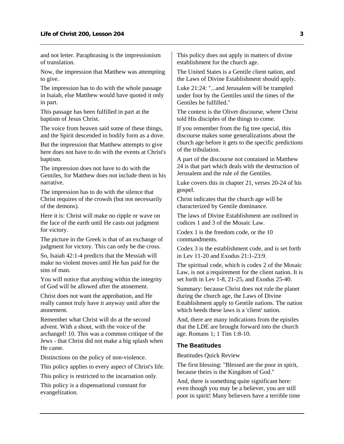<span id="page-4-0"></span>and not letter. Paraphrasing is the impressionism of translation.

Now, the impression that Matthew was attempting to give.

The impression has to do with the whole passage in Isaiah, else Matthew would have quoted it only in part.

This passage has been fulfilled in part at the baptism of Jesus Christ.

The voice from heaven said some of these things, and the Spirit descended in bodily form as a dove.

But the impression that Matthew attempts to give here does not have to do with the events at Christ's baptism.

The impression does not have to do with the Gentiles, for Matthew does not include them in his narrative.

The impression has to do with the silence that Christ requires of the crowds (but not necessarily of the demons).

Here it is: Christ will make no ripple or wave on the face of the earth until He casts out judgment for victory.

The picture in the Greek is that of an exchange of judgment for victory. This can only be the cross.

So, Isaiah 42:1-4 predicts that the Messiah will make no violent moves until He has paid for the sins of man.

You will notice that anything within the integrity of God will be allowed after the atonement.

Christ does not want the approbation, and He really cannot truly have it anyway until after the atonement.

Remember what Christ will do at the second advent. With a shout, with the voice of the archangel! 10. This was a common critique of the Jews - that Christ did not make a big splash when He came.

Distinctions on the policy of non-violence.

This policy applies to every aspect of Christ's life.

This policy is restricted to the incarnation only.

This policy is a dispensational constant for evangelization.

This policy does not apply in matters of divine establishment for the church age.

The United States is a Gentile client nation, and the Laws of Divine Establishment should apply.

Luke 21:24: "...and Jerusalem will be trampled under foot by the Gentiles until the times of the Gentiles be fulfilled."

The context is the Olivet discourse, where Christ told His disciples of the things to come.

If you remember from the fig tree special, this discourse makes some generalizations about the church age before it gets to the specific predictions of the tribulation.

A part of the discourse not contained in Matthew 24 is that part which deals with the destruction of Jerusalem and the rule of the Gentiles.

Luke covers this in chapter 21, verses 20-24 of his gospel.

Christ indicates that the church age will be characterized by Gentile dominance.

The laws of Divine Establishment are outlined in codices 1 and 3 of the Mosaic Law.

Codex 1 is the freedom code, or the 10 commandments.

Codex 3 is the establishment code, and is set forth in Lev 11-20 and Exodus 21:1-23:9.

The spiritual code, which is codex 2 of the Mosaic Law, is not a requirement for the client nation. It is set forth in Lev 1-8, 21-25, and Exodus 25-40.

Summary: because Christ does not rule the planet during the church age, the Laws of Divine Establishment apply to Gentile nations. The nation which heeds these laws is a 'client' nation.

And, there are many indications from the epistles that the LDE are brought forward into the church age. Romans 1; 1 Tim 1:8-10.

#### **The Beatitudes**

Beatitudes Quick Review

The first blessing: "Blessed are the poor in spirit, because theirs is the Kingdom of God."

And, there is something quite significant here: even though you may be a believer, you are still poor in spirit! Many believers have a terrible time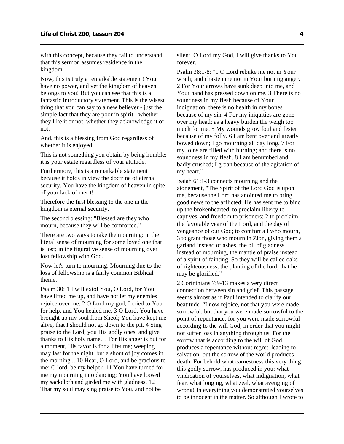with this concept, because they fail to understand that this sermon assumes residence in the kingdom.

Now, this is truly a remarkable statement! You have no power, and yet the kingdom of heaven belongs to you! But you can see that this is a fantastic introductory statement. This is the wisest thing that you can say to a new believer - just the simple fact that they are poor in spirit - whether they like it or not, whether they acknowledge it or not.

And, this is a blessing from God regardless of whether it is enjoyed.

This is not something you obtain by being humble; it is your estate regardless of your attitude.

Furthermore, this is a remarkable statement because it holds in view the doctrine of eternal security. You have the kingdom of heaven in spite of your lack of merit!

Therefore the first blessing to the one in the kingdom is eternal security.

The second blessing: "Blessed are they who mourn, because they will be comforted."

There are two ways to take the mourning: in the literal sense of mourning for some loved one that is lost; in the figurative sense of mourning over lost fellowship with God.

Now let's turn to mourning. Mourning due to the loss of fellowship is a fairly common Biblical theme.

Psalm 30: 1 I will extol You, O Lord, for You have lifted me up, and have not let my enemies rejoice over me. 2 O Lord my god, I cried to You for help, and You healed me. 3 O Lord, You have brought up my soul from Sheol; You have kept me alive, that I should not go down to the pit. 4 Sing praise to the Lord, you His godly ones, and give thanks to His holy name. 5 For His anger is but for a moment, His favor is for a lifetime; weeping may last for the night, but a shout of joy comes in the morning... 10 Hear, O Lord, and be gracious to me; O lord, be my helper. 11 You have turned for me my mourning into dancing; You have loosed my sackcloth and girded me with gladness. 12 That my soul may sing praise to You, and not be

silent. O Lord my God, I will give thanks to You forever.

Psalm 38:1-8: "1 O Lord rebuke me not in Your wrath; and chasten me not in Your burning anger. 2 For Your arrows have sunk deep into me, and Your hand has pressed down on me. 3 There is no soundness in my flesh because of Your indignation; there is no health in my bones because of my sin. 4 For my iniquities are gone over my head; as a heavy burden the weigh too much for me. 5 My wounds grow foul and fester because of my folly. 6 I am bent over and greatly bowed down; I go mourning all day long. 7 For my loins are filled with burning; and there is no soundness in my flesh. 8 I am benumbed and badly crushed; I groan because of the agitation of my heart."

Isaiah 61:1-3 connects mourning and the atonement, "The Spirit of the Lord God is upon me, because the Lord has anointed me to bring good news to the afflicted; He has sent me to bind up the brokenhearted, to proclaim liberty to captives, and freedom to prisoners; 2 to proclaim the favorable year of the Lord, and the day of vengeance of our God; to comfort all who mourn, 3 to grant those who mourn in Zion, giving them a garland instead of ashes, the oil of gladness instead of mourning, the mantle of praise instead of a spirit of fainting. So they will be called oaks of righteousness, the planting of the lord, that he may be glorified."

2 Corinthians 7:9-13 makes a very direct connection between sin and grief. This passage seems almost as if Paul intended to clarify our beatitude. "I now rejoice, not that you were made sorrowful, but that you were made sorrowful to the point of repentance; for you were made sorrowful according to the will God, in order that you might not suffer loss in anything through us. For the sorrow that is according to the will of God produces a repentance without regret, leading to salvation; but the sorrow of the world produces death. For behold what earnestness this very thing, this godly sorrow, has produced in you: what vindication of yourselves, what indignation, what fear, what longing, what zeal, what avenging of wrong! In everything you demonstrated yourselves to be innocent in the matter. So although I wrote to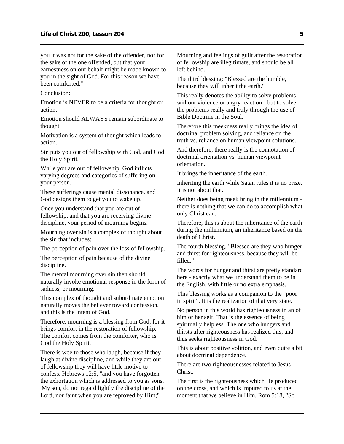you it was not for the sake of the offender, nor for the sake of the one offended, but that your earnestness on our behalf might be made known to you in the sight of God. For this reason we have been comforted."

Conclusion:

Emotion is NEVER to be a criteria for thought or action.

Emotion should ALWAYS remain subordinate to thought.

Motivation is a system of thought which leads to action.

Sin puts you out of fellowship with God, and God the Holy Spirit.

While you are out of fellowship, God inflicts varying degrees and categories of suffering on your person.

These sufferings cause mental dissonance, and God designs them to get you to wake up.

Once you understand that you are out of fellowship, and that you are receiving divine discipline, your period of mourning begins.

Mourning over sin is a complex of thought about the sin that includes:

The perception of pain over the loss of fellowship.

The perception of pain because of the divine discipline.

The mental mourning over sin then should naturally invoke emotional response in the form of sadness, or mourning.

This complex of thought and subordinate emotion naturally moves the believer toward confession, and this is the intent of God.

Therefore, mourning is a blessing from God, for it brings comfort in the restoration of fellowship. The comfort comes from the comforter, who is God the Holy Spirit.

There is woe to those who laugh, because if they laugh at divine discipline, and while they are out of fellowship they will have little motive to confess. Hebrews 12:5, "and you have forgotten the exhortation which is addressed to you as sons, 'My son, do not regard lightly the discipline of the Lord, nor faint when you are reproved by Him;'"

Mourning and feelings of guilt after the restoration of fellowship are illegitimate, and should be all left behind.

The third blessing: "Blessed are the humble, because they will inherit the earth."

This really denotes the ability to solve problems without violence or angry reaction - but to solve the problems really and truly through the use of Bible Doctrine in the Soul.

Therefore this meekness really brings the idea of doctrinal problem solving, and reliance on the truth vs. reliance on human viewpoint solutions.

And therefore, there really is the connotation of doctrinal orientation vs. human viewpoint orientation.

It brings the inheritance of the earth.

Inheriting the earth while Satan rules it is no prize. It is not about that.

Neither does being meek bring in the millennium there is nothing that we can do to accomplish what only Christ can.

Therefore, this is about the inheritance of the earth during the millennium, an inheritance based on the death of Christ.

The fourth blessing, "Blessed are they who hunger and thirst for righteousness, because they will be filled."

The words for hunger and thirst are pretty standard here - exactly what we understand them to be in the English, with little or no extra emphasis.

This blessing works as a companion to the "poor in spirit". It is the realization of that very state.

No person in this world has righteousness in an of him or her self. That is the essence of being spiritually helpless. The one who hungers and thirsts after righteousness has realized this, and thus seeks righteousness in God.

This is about positive volition, and even quite a bit about doctrinal dependence.

There are two righteousnesses related to Jesus Christ.

The first is the righteousness which He produced on the cross, and which is imputed to us at the moment that we believe in Him. Rom 5:18, "So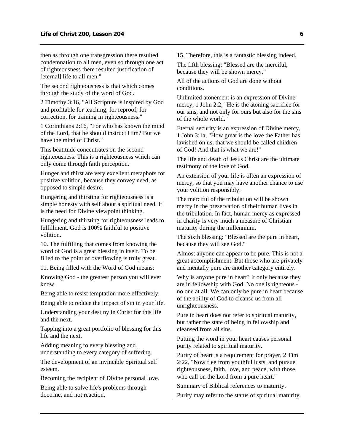then as through one transgression there resulted condemnation to all men, even so through one act of righteousness there resulted justification of [eternal] life to all men."

The second righteousness is that which comes through the study of the word of God.

2 Timothy 3:16, "All Scripture is inspired by God and profitable for teaching, for reproof, for correction, for training in righteousness."

1 Corinthians 2:16, "For who has known the mind of the Lord, that he should instruct Him? But we have the mind of Christ."

This beatitude concentrates on the second righteousness. This is a righteousness which can only come through faith perception.

Hunger and thirst are very excellent metaphors for positive volition, because they convey need, as opposed to simple desire.

Hungering and thirsting for righteousness is a simple honesty with self about a spiritual need. It is the need for Divine viewpoint thinking.

Hungering and thirsting for righteousness leads to fulfillment. God is 100% faithful to positive volition.

10. The fulfilling that comes from knowing the word of God is a great blessing in itself. To be filled to the point of overflowing is truly great.

11. Being filled with the Word of God means:

Knowing God - the greatest person you will ever know.

Being able to resist temptation more effectively.

Being able to reduce the impact of sin in your life.

Understanding your destiny in Christ for this life and the next.

Tapping into a great portfolio of blessing for this life and the next.

Adding meaning to every blessing and understanding to every category of suffering.

The development of an invincible Spiritual self esteem.

Becoming the recipient of Divine personal love.

Being able to solve life's problems through doctrine, and not reaction.

15. Therefore, this is a fantastic blessing indeed.

The fifth blessing: "Blessed are the merciful, because they will be shown mercy."

All of the actions of God are done without conditions.

Unlimited atonement is an expression of Divine mercy, 1 John 2:2, "He is the atoning sacrifice for our sins, and not only for ours but also for the sins of the whole world."

Eternal security is an expression of Divine mercy, 1 John 3:1a, "How great is the love the Father has lavished on us, that we should be called children of God! And that is what we are!"

The life and death of Jesus Christ are the ultimate testimony of the love of God.

An extension of your life is often an expression of mercy, so that you may have another chance to use your volition responsibly.

The merciful of the tribulation will be shown mercy in the preservation of their human lives in the tribulation. In fact, human mercy as expressed in charity is very much a measure of Christian maturity during the millennium.

The sixth blessing: "Blessed are the pure in heart, because they will see God."

Almost anyone can appear to be pure. This is not a great accomplishment. But those who are privately and mentally pure are another category entirely.

Why is anyone pure in heart? It only because they are in fellowship with God. No one is righteous no one at all. We can only be pure in heart because of the ability of God to cleanse us from all unrighteousness.

Pure in heart does not refer to spiritual maturity, but rather the state of being in fellowship and cleansed from all sins.

Putting the word in your heart causes personal purity related to spiritual maturity.

Purity of heart is a requirement for prayer, 2 Tim 2:22, "Now flee from youthful lusts, and pursue righteousness, faith, love, and peace, with those who call on the Lord from a pure heart."

Summary of Biblical references to maturity.

Purity may refer to the status of spiritual maturity.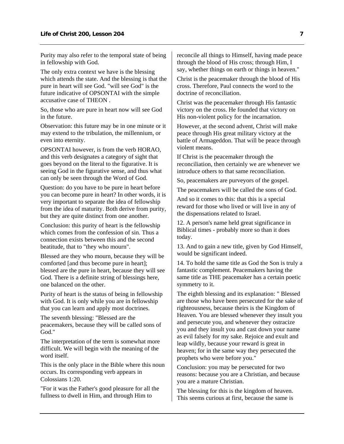Purity may also refer to the temporal state of being in fellowship with God.

The only extra context we have is the blessing which attends the state. And the blessing is that the pure in heart will see God. "will see God" is the future indicative of OPSONTAI with the simple accusative case of THEON .

So, those who are pure in heart now will see God in the future.

Observation: this future may be in one minute or it may extend to the tribulation, the millennium, or even into eternity.

OPSONTAI however, is from the verb HORAO, and this verb designates a category of sight that goes beyond on the literal to the figurative. It is seeing God in the figurative sense, and thus what can only be seen through the Word of God.

Question: do you have to be pure in heart before you can become pure in heart? In other words, it is very important to separate the idea of fellowship from the idea of maturity. Both derive from purity, but they are quite distinct from one another.

Conclusion: this purity of heart is the fellowship which comes from the confession of sin. Thus a connection exists between this and the second beatitude, that to "they who mourn".

Blessed are they who mourn, because they will be comforted [and thus become pure in heart]; blessed are the pure in heart, because they will see God. There is a definite string of blessings here, one balanced on the other.

Purity of heart is the status of being in fellowship with God. It is only while you are in fellowship that you can learn and apply most doctrines.

The seventh blessing: "Blessed are the peacemakers, because they will be called sons of God<sup>"</sup>

The interpretation of the term is somewhat more difficult. We will begin with the meaning of the word itself.

This is the only place in the Bible where this noun occurs. Its corresponding verb appears in Colossians 1:20.

"For it was the Father's good pleasure for all the fullness to dwell in Him, and through Him to

reconcile all things to Himself, having made peace through the blood of His cross; through Him, I say, whether things on earth or things in heaven."

Christ is the peacemaker through the blood of His cross. Therefore, Paul connects the word to the doctrine of reconciliation.

Christ was the peacemaker through His fantastic victory on the cross. He founded that victory on His non-violent policy for the incarnation.

However, at the second advent, Christ will make peace through His great military victory at the battle of Armageddon. That will be peace through violent means.

If Christ is the peacemaker through the reconciliation, then certainly we are whenever we introduce others to that same reconciliation.

So, peacemakers are purveyors of the gospel.

The peacemakers will be called the sons of God.

And so it comes to this: that this is a special reward for those who lived or will live in any of the dispensations related to Israel.

12. A person's name held great significance in Biblical times - probably more so than it does today.

13. And to gain a new title, given by God Himself, would be significant indeed.

14. To hold the same title as God the Son is truly a fantastic complement. Peacemakers having the same title as THE peacemaker has a certain poetic symmetry to it.

The eighth blessing and its explanation: " Blessed are those who have been persecuted for the sake of righteousness, because theirs is the Kingdom of Heaven. You are blessed whenever they insult you and persecute you, and whenever they ostracize you and they insult you and cast down your name as evil falsely for my sake. Rejoice and exult and leap wildly, because your reward is great in heaven; for in the same way they persecuted the prophets who were before you."

Conclusion: you may be persecuted for two reasons: because you are a Christian, and because you are a mature Christian.

The blessing for this is the kingdom of heaven. This seems curious at first, because the same is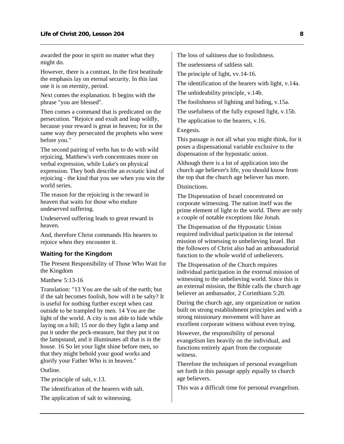<span id="page-9-0"></span>awarded the poor in spirit no matter what they might do.

However, there is a contrast. In the first beatitude the emphasis lay on eternal security. In this last one it is on eternity, period.

Next comes the explanation. It begins with the phrase "you are blessed".

Then comes a command that is predicated on the persecution. "Rejoice and exult and leap wildly, because your reward is great in heaven; for in the same way they persecuted the prophets who were before you."

The second pairing of verbs has to do with wild rejoicing. Matthew's verb concentrates more on verbal expression, while Luke's on physical expression. They both describe an ecstatic kind of rejoicing - the kind that you see when you win the world series.

The reason for the rejoicing is the reward in heaven that waits for those who endure undeserved suffering.

Undeserved suffering leads to great reward in heaven.

And, therefore Christ commands His hearers to rejoice when they encounter it.

#### **Waiting for the Kingdom**

The Present Responsibility of Those Who Wait for the Kingdom

Matthew 5:13-16

Translation: "13 You are the salt of the earth; but if the salt becomes foolish, how will it be salty? It is useful for nothing further except when cast outside to be trampled by men. 14 You are the light of the world. A city is not able to hide while laying on a hill; 15 nor do they light a lamp and put it under the peck-measure, but they put it on the lampstand, and it illuminates all that is in the house. 16 So let your light shine before men, so that they might behold your good works and glorify your Father Who is in heaven."

Outline.

The principle of salt, v.13.

The identification of the hearers with salt.

The application of salt to witnessing.

The loss of saltiness due to foolishness.

The uselessness of saltless salt.

The principle of light, vv.14-16.

The identification of the hearers with light, v.14a.

The unhideability principle, v.14b.

The foolishness of lighting and hiding, v.15a.

The usefulness of the fully exposed light, v.15b.

The application to the hearers, v.16.

Exegesis.

This passage is not all what you might think, for it poses a dispensational variable exclusive to the dispensation of the hypostatic union.

Although there is a lot of application into the church age believer's life, you should know from the top that the church age believer has more.

Distinctions.

The Dispensation of Israel concentrated on corporate witnessing. The nation itself was the prime element of light to the world. There are only a couple of notable exceptions like Jonah.

The Dispensation of the Hypostatic Union required individual participation in the internal mission of witnessing to unbelieving Israel. But the followers of Christ also had an ambassadorial function to the whole world of unbelievers.

The Dispensation of the Church requires individual participation in the external mission of witnessing to the unbelieving world. Since this is an external mission, the Bible calls the church age believer an ambassador, 2 Corinthians 5:20.

During the church age, any organization or nation built on strong establishment principles and with a strong missionary movement will have an excellent corporate witness without even trying.

However, the responsibility of personal evangelism lies heavily on the individual, and functions entirely apart from the corporate witness.

Therefore the techniques of personal evangelism set forth in this passage apply equally to church age believers.

This was a difficult time for personal evangelism.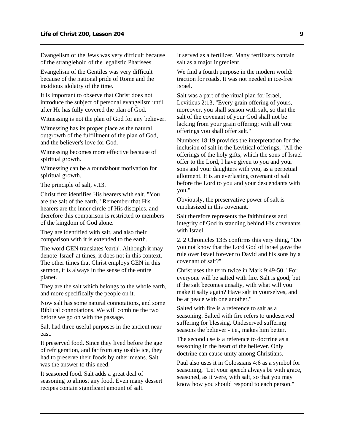Evangelism of the Jews was very difficult because of the stranglehold of the legalistic Pharisees.

Evangelism of the Gentiles was very difficult because of the national pride of Rome and the insidious idolatry of the time.

It is important to observe that Christ does not introduce the subject of personal evangelism until after He has fully covered the plan of God.

Witnessing is not the plan of God for any believer.

Witnessing has its proper place as the natural outgrowth of the fulfillment of the plan of God, and the believer's love for God.

Witnessing becomes more effective because of spiritual growth.

Witnessing can be a roundabout motivation for spiritual growth.

The principle of salt, v.13.

Christ first identifies His hearers with salt. "You are the salt of the earth." Remember that His hearers are the inner circle of His disciples, and therefore this comparison is restricted to members of the kingdom of God alone.

They are identified with salt, and also their comparison with it is extended to the earth.

The word GEN translates 'earth'. Although it may denote 'Israel' at times, it does not in this context. The other times that Christ employs GEN in this sermon, it is always in the sense of the entire planet.

They are the salt which belongs to the whole earth, and more specifically the people on it.

Now salt has some natural connotations, and some Biblical connotations. We will combine the two before we go on with the passage.

Salt had three useful purposes in the ancient near east.

It preserved food. Since they lived before the age of refrigeration, and far from any usable ice, they had to preserve their foods by other means. Salt was the answer to this need.

It seasoned food. Salt adds a great deal of seasoning to almost any food. Even many dessert recipes contain significant amount of salt.

It served as a fertilizer. Many fertilizers contain salt as a major ingredient.

We find a fourth purpose in the modern world: traction for roads. It was not needed in ice-free Israel.

Salt was a part of the ritual plan for Israel, Leviticus 2:13, "Every grain offering of yours, moreover, you shall season with salt, so that the salt of the covenant of your God shall not be lacking from your grain offering; with all your offerings you shall offer salt."

Numbers 18:19 provides the interpretation for the inclusion of salt in the Levitical offerings, "All the offerings of the holy gifts, which the sons of Israel offer to the Lord, I have given to you and your sons and your daughters with you, as a perpetual allotment. It is an everlasting covenant of salt before the Lord to you and your descendants with you."

Obviously, the preservative power of salt is emphasized in this covenant.

Salt therefore represents the faithfulness and integrity of God in standing behind His covenants with Israel.

2. 2 Chronicles 13:5 confirms this very thing, "Do you not know that the Lord God of Israel gave the rule over Israel forever to David and his sons by a covenant of salt?"

Christ uses the term twice in Mark 9:49-50, "For everyone will be salted with fire. Salt is good; but if the salt becomes unsalty, with what will you make it salty again? Have salt in yourselves, and be at peace with one another."

Salted with fire is a reference to salt as a seasoning. Salted with fire refers to undeserved suffering for blessing. Undeserved suffering seasons the believer - i.e., makes him better.

The second use is a reference to doctrine as a seasoning in the heart of the believer. Only doctrine can cause unity among Christians.

Paul also uses it in Colossians 4:6 as a symbol for seasoning, "Let your speech always be with grace, seasoned, as it were, with salt, so that you may know how you should respond to each person."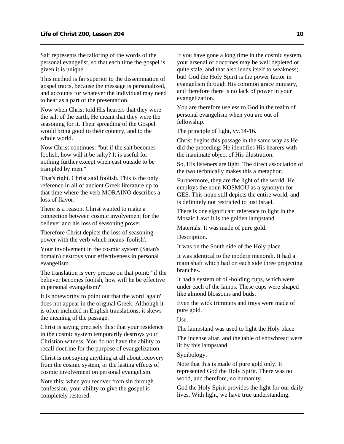Salt represents the tailoring of the words of the personal evangelist, so that each time the gospel is given it is unique.

This method is far superior to the dissemination of gospel tracts, because the message is personalized, and accounts for whatever the individual may need to hear as a part of the presentation.

Now when Christ told His hearers that they were the salt of the earth, He meant that they were the seasoning for it. Their spreading of the Gospel would bring good to their country, and to the whole world.

Now Christ continues: "but if the salt becomes foolish, how will it be salty? It is useful for nothing further except when cast outside to be trampled by men."

That's right. Christ said foolish. This is the only reference in all of ancient Greek literature up to that time where the verb MORAINO describes a loss of flavor.

There is a reason. Christ wanted to make a connection between cosmic involvement for the believer and his loss of seasoning power.

Therefore Christ depicts the loss of seasoning power with the verb which means 'foolish'.

Your involvement in the cosmic system (Satan's domain) destroys your effectiveness in personal evangelism.

The translation is very precise on that point: "if the believer becomes foolish, how will he be effective in personal evangelism?"

It is noteworthy to point out that the word 'again' does not appear in the original Greek. Although it is often included in English translations, it skews the meaning of the passage.

Christ is saying precisely this: that your residence in the cosmic system temporarily destroys your Christian witness. You do not have the ability to recall doctrine for the purpose of evangelization.

Christ is not saying anything at all about recovery from the cosmic system, or the lasting effects of cosmic involvement on personal evangelism.

Note this: when you recover from sin through confession, your ability to give the gospel is completely restored.

If you have gone a long time in the cosmic system, your arsenal of doctrines may be well depleted or quite stale, and that also lends itself to weakness; but! God the Holy Spirit is the power factor in evangelism through His common grace ministry, and therefore there is no lack of power in your evangelization.

You are therefore useless to God in the realm of personal evangelism when you are out of fellowship.

The principle of light, vv.14-16.

Christ begins this passage in the same way as He did the preceding: He identifies His hearers with the inanimate object of His illustration.

So, His listeners are light. The direct association of the two technically makes this a metaphor.

Furthermore, they are the light of the world. He employs the noun KOSMOU as a synonym for GES. This noun still depicts the entire world, and is definitely not restricted to just Israel.

There is one significant reference to light in the Mosaic Law: it is the golden lampstand.

Materials: It was made of pure gold.

Description.

It was on the South side of the Holy place.

It was identical to the modern menorah. It had a main shaft which had on each side three projecting branches.

It had a system of oil-holding cups, which were under each of the lamps. These cups were shaped like almond blossoms and buds.

Even the wick trimmers and trays were made of pure gold.

Use.

The lampstand was used to light the Holy place.

The incense altar, and the table of showbread were lit by this lampstand.

Symbology.

Note that this is made of pure gold only. It represented God the Holy Spirit. There was no wood, and therefore, no humanity.

God the Holy Spirit provides the light for our daily lives. With light, we have true understanding.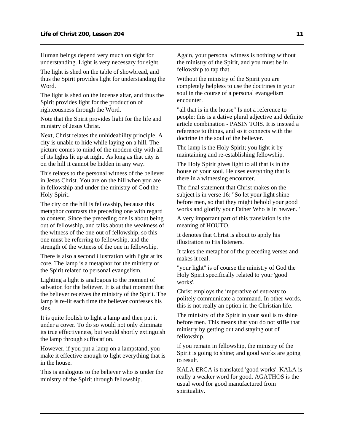Human beings depend very much on sight for understanding. Light is very necessary for sight.

The light is shed on the table of showbread, and thus the Spirit provides light for understanding the Word.

The light is shed on the incense altar, and thus the Spirit provides light for the production of righteousness through the Word.

Note that the Spirit provides light for the life and ministry of Jesus Christ.

Next, Christ relates the unhideability principle. A city is unable to hide while laying on a hill. The picture comes to mind of the modern city with all of its lights lit up at night. As long as that city is on the hill it cannot be hidden in any way.

This relates to the personal witness of the believer in Jesus Christ. You are on the hill when you are in fellowship and under the ministry of God the Holy Spirit.

The city on the hill is fellowship, because this metaphor contrasts the preceding one with regard to content. Since the preceding one is about being out of fellowship, and talks about the weakness of the witness of the one out of fellowship, so this one must be referring to fellowship, and the strength of the witness of the one in fellowship.

There is also a second illustration with light at its core. The lamp is a metaphor for the ministry of the Spirit related to personal evangelism.

Lighting a light is analogous to the moment of salvation for the believer. It is at that moment that the believer receives the ministry of the Spirit. The lamp is re-lit each time the believer confesses his sins.

It is quite foolish to light a lamp and then put it under a cover. To do so would not only eliminate its true effectiveness, but would shortly extinguish the lamp through suffocation.

However, if you put a lamp on a lampstand, you make it effective enough to light everything that is in the house.

This is analogous to the believer who is under the ministry of the Spirit through fellowship.

Again, your personal witness is nothing without the ministry of the Spirit, and you must be in fellowship to tap that.

Without the ministry of the Spirit you are completely helpless to use the doctrines in your soul in the course of a personal evangelism encounter.

"all that is in the house" Is not a reference to people; this is a dative plural adjective and definite article combination - PASIN TOIS. It is instead a reference to things, and so it connects with the doctrine in the soul of the believer.

The lamp is the Holy Spirit; you light it by maintaining and re-establishing fellowship.

The Holy Spirit gives light to all that is in the house of your soul. He uses everything that is there in a witnessing encounter.

The final statement that Christ makes on the subject is in verse 16: "So let your light shine before men, so that they might behold your good works and glorify your Father Who is in heaven."

A very important part of this translation is the meaning of HOUTO.

It denotes that Christ is about to apply his illustration to His listeners.

It takes the metaphor of the preceding verses and makes it real.

"your light" is of course the ministry of God the Holy Spirit specifically related to your 'good works'.

Christ employs the imperative of entreaty to politely communicate a command. In other words, this is not really an option in the Christian life.

The ministry of the Spirit in your soul is to shine before men. This means that you do not stifle that ministry by getting out and staying out of fellowship.

If you remain in fellowship, the ministry of the Spirit is going to shine; and good works are going to result.

KALA ERGA is translated 'good works'. KALA is really a weaker word for good. AGATHOS is the usual word for good manufactured from spirituality.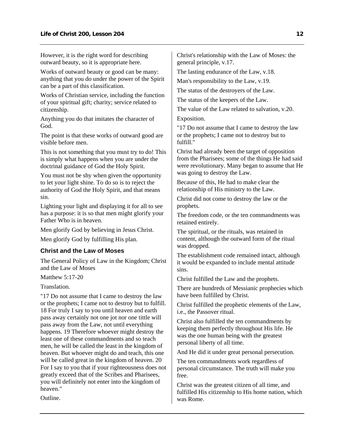<span id="page-13-0"></span>However, it is the right word for describing outward beauty, so it is appropriate here.

Works of outward beauty or good can be many: anything that you do under the power of the Spirit can be a part of this classification.

Works of Christian service, including the function of your spiritual gift; charity; service related to citizenship.

Anything you do that imitates the character of God.

The point is that these works of outward good are visible before men.

This is not something that you must try to do! This is simply what happens when you are under the doctrinal guidance of God the Holy Spirit.

You must not be shy when given the opportunity to let your light shine. To do so is to reject the authority of God the Holy Spirit, and that means sin.

Lighting your light and displaying it for all to see has a purpose: it is so that men might glorify your Father Who is in heaven.

Men glorify God by believing in Jesus Christ. Men glorify God by fulfilling His plan.

#### **Christ and the Law of Moses**

The General Policy of Law in the Kingdom; Christ and the Law of Moses

Matthew  $5.17-20$ 

Translation.

"17 Do not assume that I came to destroy the law or the prophets; I came not to destroy but to fulfill. 18 For truly I say to you until heaven and earth pass away certainly not one jot nor one tittle will pass away from the Law, not until everything happens. 19 Therefore whoever might destroy the least one of these commandments and so teach men, he will be called the least in the kingdom of heaven. But whoever might do and teach, this one will be called great in the kingdom of heaven. 20 For I say to you that if your righteousness does not greatly exceed that of the Scribes and Pharisees, you will definitely not enter into the kingdom of heaven."

Outline.

Christ's relationship with the Law of Moses: the general principle, v.17.

The lasting endurance of the Law, v.18.

Man's responsibility to the Law, v.19.

The status of the destroyers of the Law.

The status of the keepers of the Law.

The value of the Law related to salvation, v.20.

Exposition.

"17 Do not assume that I came to destroy the law or the prophets; I came not to destroy but to fulfill."

Christ had already been the target of opposition from the Pharisees; some of the things He had said were revolutionary. Many began to assume that He was going to destroy the Law.

Because of this, He had to make clear the relationship of His ministry to the Law.

Christ did not come to destroy the law or the prophets.

The freedom code, or the ten commandments was retained entirely.

The spiritual, or the rituals, was retained in content, although the outward form of the ritual was dropped.

The establishment code remained intact, although it would be expanded to include mental attitude sins.

Christ fulfilled the Law and the prophets.

There are hundreds of Messianic prophecies which have been fulfilled by Christ.

Christ fulfilled the prophetic elements of the Law, i.e., the Passover ritual.

Christ also fulfilled the ten commandments by keeping them perfectly throughout His life. He was the one human being with the greatest personal liberty of all time.

And He did it under great personal persecution.

The ten commandments work regardless of personal circumstance. The truth will make you free.

Christ was the greatest citizen of all time, and fulfilled His citizenship to His home nation, which was Rome.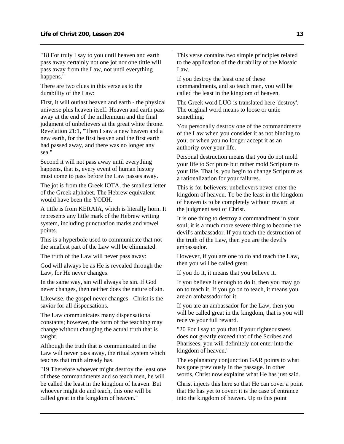"18 For truly I say to you until heaven and earth pass away certainly not one jot nor one tittle will pass away from the Law, not until everything happens."

There are two clues in this verse as to the durability of the Law:

First, it will outlast heaven and earth - the physical universe plus heaven itself. Heaven and earth pass away at the end of the millennium and the final judgment of unbelievers at the great white throne. Revelation 21:1, "Then I saw a new heaven and a new earth, for the first heaven and the first earth had passed away, and there was no longer any sea."

Second it will not pass away until everything happens, that is, every event of human history must come to pass before the Law passes away.

The jot is from the Greek IOTA, the smallest letter of the Greek alphabet. The Hebrew equivalent would have been the YODH.

A tittle is from KERAIA, which is literally horn. It represents any little mark of the Hebrew writing system, including punctuation marks and vowel points.

This is a hyperbole used to communicate that not the smallest part of the Law will be eliminated.

The truth of the Law will never pass away:

God will always be as He is revealed through the Law, for He never changes.

In the same way, sin will always be sin. If God never changes, then neither does the nature of sin.

Likewise, the gospel never changes - Christ is the savior for all dispensations.

The Law communicates many dispensational constants; however, the form of the teaching may change without changing the actual truth that is taught.

Although the truth that is communicated in the Law will never pass away, the ritual system which teaches that truth already has.

"19 Therefore whoever might destroy the least one of these commandments and so teach men, he will be called the least in the kingdom of heaven. But whoever might do and teach, this one will be called great in the kingdom of heaven."

This verse contains two simple principles related to the application of the durability of the Mosaic Law.

If you destroy the least one of these commandments, and so teach men, you will be called the least in the kingdom of heaven.

The Greek word LUO is translated here 'destroy'. The original word means to loose or untie something.

You personally destroy one of the commandments of the Law when you consider it as not binding to you; or when you no longer accept it as an authority over your life.

Personal destruction means that you do not mold your life to Scripture but rather mold Scripture to your life. That is, you begin to change Scripture as a rationalization for your failures.

This is for believers; unbelievers never enter the kingdom of heaven. To be the least in the kingdom of heaven is to be completely without reward at the judgment seat of Christ.

It is one thing to destroy a commandment in your soul; it is a much more severe thing to become the devil's ambassador. If you teach the destruction of the truth of the Law, then you are the devil's ambassador.

However, if you are one to do and teach the Law, then you will be called great.

If you do it, it means that you believe it.

If you believe it enough to do it, then you may go on to teach it. If you go on to teach, it means you are an ambassador for it.

If you are an ambassador for the Law, then you will be called great in the kingdom, that is you will receive your full reward.

"20 For I say to you that if your righteousness does not greatly exceed that of the Scribes and Pharisees, you will definitely not enter into the kingdom of heaven."

The explanatory conjunction GAR points to what has gone previously in the passage. In other words, Christ now explains what He has just said.

Christ injects this here so that He can cover a point that He has yet to cover: it is the case of entrance into the kingdom of heaven. Up to this point